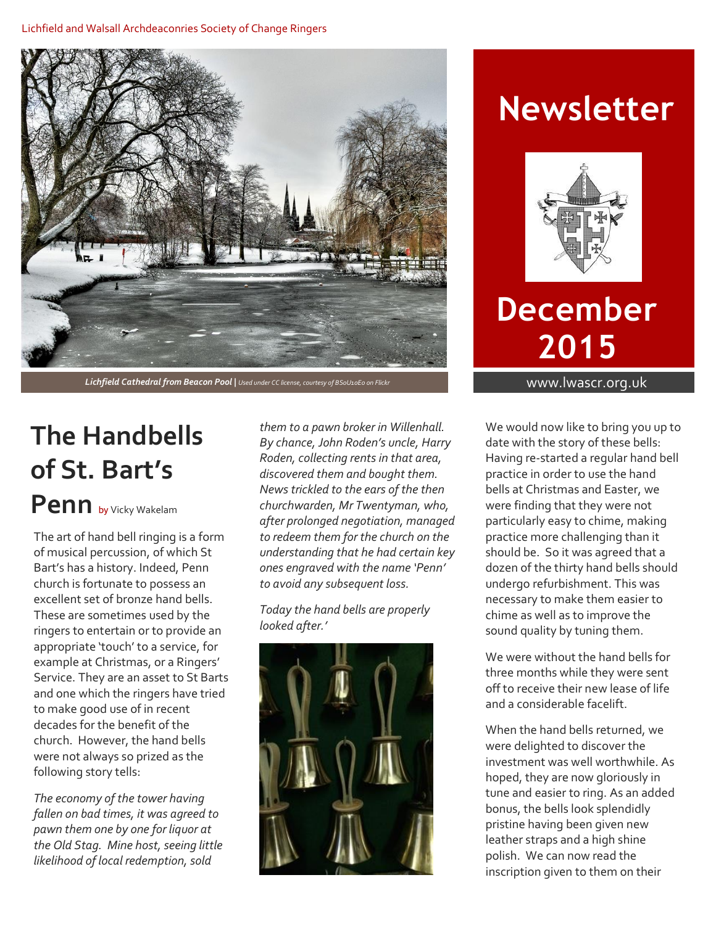#### Lichfield and Walsall Archdeaconries Society of Change Ringers



**Lichfield Cathedral from Beacon Pool** | Used under CC license, courtesy of BS0U10E0 on Flickr www.lwascr.org.uk

### **The Handbells of St. Bart's Penn** by Vicky Wakelam

The art of hand bell ringing is a form of musical percussion, of which St Bart's has a history. Indeed, Penn church is fortunate to possess an excellent set of bronze hand bells. These are sometimes used by the ringers to entertain or to provide an appropriate 'touch' to a service, for example at Christmas, or a Ringers' Service. They are an asset to St Barts and one which the ringers have tried to make good use of in recent decades for the benefit of the church. However, the hand bells were not always so prized as the following story tells:

*The economy of the tower having fallen on bad times, it was agreed to pawn them one by one for liquor at the Old Stag. Mine host, seeing little likelihood of local redemption, sold* 

*them to a pawn broker in Willenhall. By chance, John Roden's uncle, Harry Roden, collecting rents in that area, discovered them and bought them. News trickled to the ears of the then churchwarden, Mr Twentyman, who, after prolonged negotiation, managed to redeem them for the church on the understanding that he had certain key ones engraved with the name 'Penn' to avoid any subsequent loss.*

*Today the hand bells are properly looked after.'*



# **Newsletter**



# **December 2015**

We would now like to bring you up to date with the story of these bells: Having re-started a regular hand bell practice in order to use the hand bells at Christmas and Easter, we were finding that they were not particularly easy to chime, making practice more challenging than it should be. So it was agreed that a dozen of the thirty hand bells should undergo refurbishment. This was necessary to make them easier to chime as well as to improve the sound quality by tuning them.

We were without the hand bells for three months while they were sent off to receive their new lease of life and a considerable facelift.

When the hand bells returned, we were delighted to discover the investment was well worthwhile. As hoped, they are now gloriously in tune and easier to ring. As an added bonus, the bells look splendidly pristine having been given new leather straps and a high shine polish. We can now read the inscription given to them on their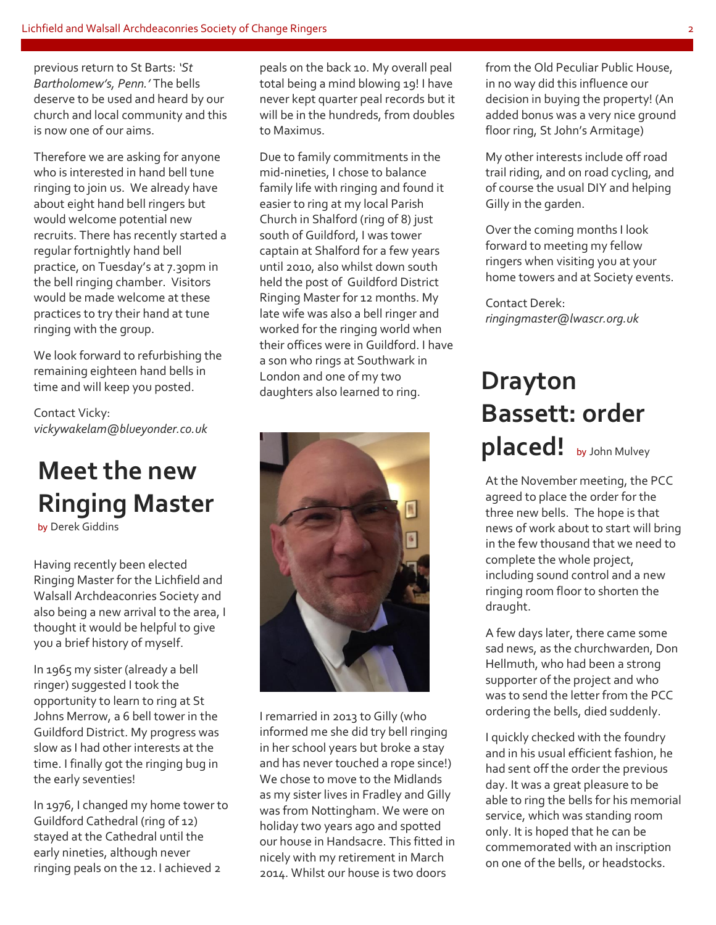previous return to St Barts: *'St Bartholomew's, Penn.'* The bells deserve to be used and heard by our church and local community and this is now one of our aims.

Therefore we are asking for anyone who is interested in hand bell tune ringing to join us. We already have about eight hand bell ringers but would welcome potential new recruits. There has recently started a regular fortnightly hand bell practice, on Tuesday's at 7.30pm in the bell ringing chamber. Visitors would be made welcome at these practices to try their hand at tune ringing with the group.

We look forward to refurbishing the remaining eighteen hand bells in time and will keep you posted.

Contact Vicky: *vickywakelam@blueyonder.co.uk*

## **Meet the new Ringing Master**

by Derek Giddins

Having recently been elected Ringing Master for the Lichfield and Walsall Archdeaconries Society and also being a new arrival to the area, I thought it would be helpful to give you a brief history of myself.

In 1965 my sister (already a bell ringer) suggested I took the opportunity to learn to ring at St Johns Merrow, a 6 bell tower in the Guildford District. My progress was slow as I had other interests at the time. I finally got the ringing bug in the early seventies!

In 1976, I changed my home tower to Guildford Cathedral (ring of 12) stayed at the Cathedral until the early nineties, although never ringing peals on the 12. I achieved 2

peals on the back 10. My overall peal total being a mind blowing 19! I have never kept quarter peal records but it will be in the hundreds, from doubles to Maximus.

Due to family commitments in the mid-nineties, I chose to balance family life with ringing and found it easier to ring at my local Parish Church in Shalford (ring of 8) just south of Guildford, I was tower captain at Shalford for a few years until 2010, also whilst down south held the post of Guildford District Ringing Master for 12 months. My late wife was also a bell ringer and worked for the ringing world when their offices were in Guildford. I have a son who rings at Southwark in London and one of my two daughters also learned to ring.



I remarried in 2013 to Gilly (who informed me she did try bell ringing in her school years but broke a stay and has never touched a rope since!) We chose to move to the Midlands as my sister lives in Fradley and Gilly was from Nottingham. We were on holiday two years ago and spotted our house in Handsacre. This fitted in nicely with my retirement in March 2014. Whilst our house is two doors

from the Old Peculiar Public House, in no way did this influence our decision in buying the property! (An added bonus was a very nice ground floor ring, St John's Armitage)

My other interests include off road trail riding, and on road cycling, and of course the usual DIY and helping Gilly in the garden.

Over the coming months I look forward to meeting my fellow ringers when visiting you at your home towers and at Society events.

Contact Derek: *ringingmaster@lwascr.org.uk*

### **Drayton Bassett: order placed!** by John Mulvey MulveyGiddins

At the November meeting, the PCC agreed to place the order for the three new bells. The hope is that news of work about to start will bring in the few thousand that we need to complete the whole project, including sound control and a new ringing room floor to shorten the draught.

A few days later, there came some sad news, as the churchwarden, Don Hellmuth, who had been a strong supporter of the project and who was to send the letter from the PCC ordering the bells, died suddenly.

I quickly checked with the foundry and in his usual efficient fashion, he had sent off the order the previous day. It was a great pleasure to be able to ring the bells for his memorial service, which was standing room only. It is hoped that he can be commemorated with an inscription on one of the bells, or headstocks.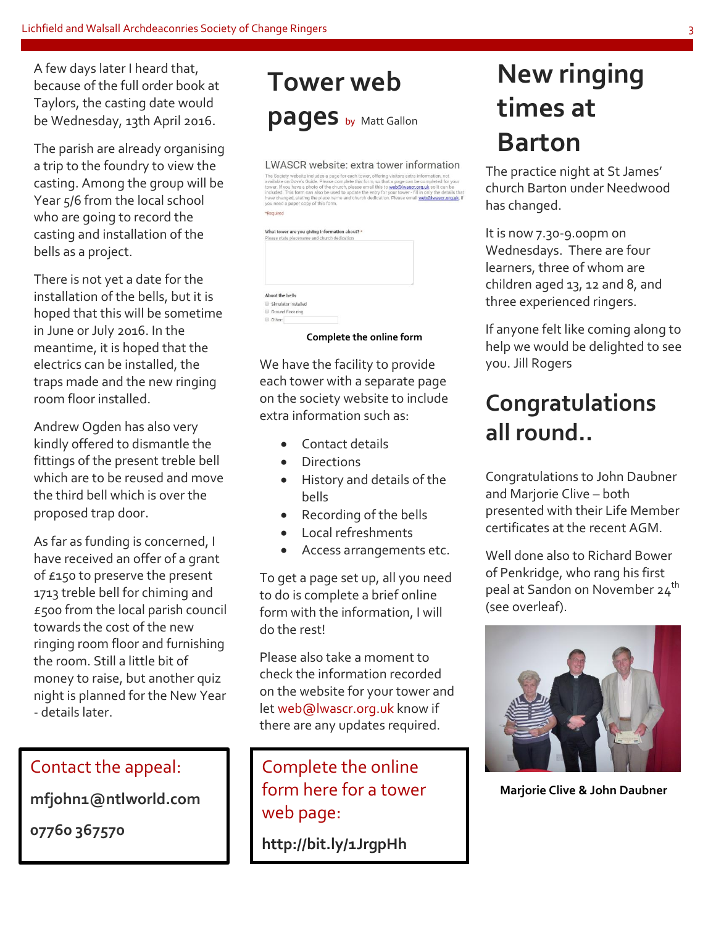A few days later I heard that, because of the full order book at Taylors, the casting date would be Wednesday, 13th April 2016.

The parish are already organising a trip to the foundry to view the casting. Among the group will be Year 5/6 from the local school who are going to record the casting and installation of the bells as a project.

There is not yet a date for the installation of the bells, but it is hoped that this will be sometime in June or July 2016. In the meantime, it is hoped that the electrics can be installed, the traps made and the new ringing room floor installed.

Andrew Ogden has also very kindly offered to dismantle the fittings of the present treble bell which are to be reused and move the third bell which is over the proposed trap door.

As far as funding is concerned, I have received an offer of a grant of £150 to preserve the present 1713 treble bell for chiming and £500 from the local parish council towards the cost of the new ringing room floor and furnishing the room. Still a little bit of money to raise, but another quiz night is planned for the New Year - details later.

### Contact the appeal:

**mfjohn1@ntlworld.com**

**07760 367570**

## **Tower web pages** by Matt Gallon

LWASCR website: extra tower information **LWASCK WEDSITE: EXTER TOWER INTOTIMATION**<br>as Society website includes a page for each tower, offering viations action consider on bove's Guide. Please complete this form, so that a page can be completed for your<br>diable on

| Please state placename and church dedication                     | What tower are you giving information about? * |
|------------------------------------------------------------------|------------------------------------------------|
|                                                                  |                                                |
|                                                                  |                                                |
|                                                                  |                                                |
|                                                                  |                                                |
|                                                                  |                                                |
|                                                                  |                                                |
|                                                                  |                                                |
| About the bells<br>Simulator installed<br>Ground floor ring<br>Ð |                                                |

#### **Complete the online form**

We have the facility to provide each tower with a separate page on the society website to include extra information such as:

- Contact details
- Directions
- History and details of the bells
- Recording of the bells
- Local refreshments
- Access arrangements etc.

To get a page set up, all you need to do is complete a brief online form with the information, I will do the rest!

Please also take a moment to check the information recorded on the website for your tower and let web@lwascr.org.uk know if there are any updates required.

### Complete the online form here for a tower web page:

**http://bit.ly/1JrgpHh**

### **New ringing times at Barton**

The practice night at St James' church Barton under Needwood has changed.

It is now 7.30-9.00pm on Wednesdays. There are four learners, three of whom are children aged 13, 12 and 8, and three experienced ringers.

If anyone felt like coming along to help we would be delighted to see you. Jill Rogers

### **Congratulations all round..**

Congratulations to John Daubner and Marjorie Clive – both presented with their Life Member certificates at the recent AGM.

Well done also to Richard Bower of Penkridge, who rang his first peal at Sandon on November 24th (see overleaf).



**Marjorie Clive & John Daubner**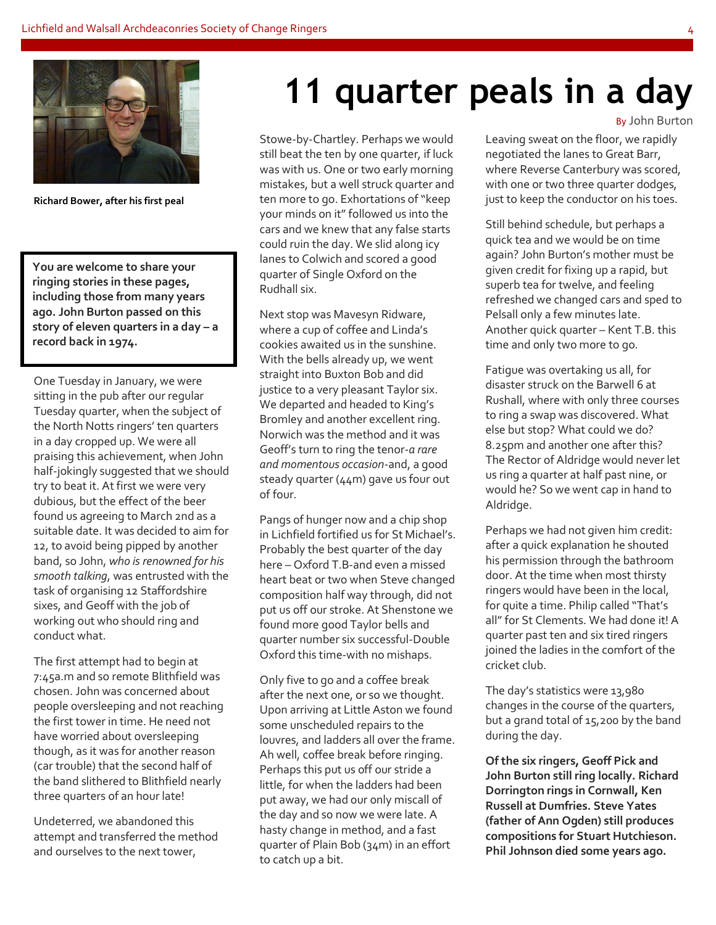

**Richard Bower, after his first peal**

**You are welcome to share your ringing stories in these pages, including those from many years ago. John Burton passed on this story of eleven quarters in a day – a record back in 1974.**

One Tuesday in January, we were sitting in the pub after our regular Tuesday quarter, when the subject of the North Notts ringers' ten quarters in a day cropped up. We were all praising this achievement, when John half-jokingly suggested that we should try to beat it. At first we were very dubious, but the effect of the beer found us agreeing to March 2nd as a suitable date. It was decided to aim for 12, to avoid being pipped by another band, so John, *who is renowned for his smooth talking*, was entrusted with the task of organising 12 Staffordshire sixes, and Geoff with the job of working out who should ring and conduct what.

The first attempt had to begin at 7:45a.m and so remote Blithfield was chosen. John was concerned about people oversleeping and not reaching the first tower in time. He need not have worried about oversleeping though, as it was for another reason (car trouble) that the second half of the band slithered to Blithfield nearly three quarters of an hour late!

Undeterred, we abandoned this attempt and transferred the method and ourselves to the next tower,

# **11 quarter peals in a day**

Stowe-by-Chartley. Perhaps we would still beat the ten by one quarter, if luck was with us. One or two early morning mistakes, but a well struck quarter and ten more to go. Exhortations of "keep your minds on it" followed us into the cars and we knew that any false starts could ruin the day. We slid along icy lanes to Colwich and scored a good quarter of Single Oxford on the Rudhall six.

Next stop was Mavesyn Ridware, where a cup of coffee and Linda's cookies awaited us in the sunshine. With the bells already up, we went straight into Buxton Bob and did justice to a very pleasant Taylor six. We departed and headed to King's Bromley and another excellent ring. Norwich was the method and it was Geoff's turn to ring the tenor-*a rare and momentous occasion*-and, a good steady quarter (44m) gave us four out of four.

Pangs of hunger now and a chip shop in Lichfield fortified us for St Michael's. Probably the best quarter of the day here – Oxford T.B-and even a missed heart beat or two when Steve changed composition half way through, did not put us off our stroke. At Shenstone we found more good Taylor bells and quarter number six successful-Double Oxford this time-with no mishaps.

Only five to go and a coffee break after the next one, or so we thought. Upon arriving at Little Aston we found some unscheduled repairs to the louvres, and ladders all over the frame. Ah well, coffee break before ringing. Perhaps this put us off our stride a little, for when the ladders had been put away, we had our only miscall of the day and so now we were late. A hasty change in method, and a fast quarter of Plain Bob (34m) in an effort to catch up a bit.

By John Burton

Leaving sweat on the floor, we rapidly negotiated the lanes to Great Barr, where Reverse Canterbury was scored, with one or two three quarter dodges, just to keep the conductor on his toes.

Still behind schedule, but perhaps a quick tea and we would be on time again? John Burton's mother must be given credit for fixing up a rapid, but superb tea for twelve, and feeling refreshed we changed cars and sped to Pelsall only a few minutes late. Another quick quarter – Kent T.B. this time and only two more to go.

Fatigue was overtaking us all, for disaster struck on the Barwell 6 at Rushall, where with only three courses to ring a swap was discovered. What else but stop? What could we do? 8.25pm and another one after this? The Rector of Aldridge would never let us ring a quarter at half past nine, or would he? So we went cap in hand to Aldridge.

Perhaps we had not given him credit: after a quick explanation he shouted his permission through the bathroom door. At the time when most thirsty ringers would have been in the local, for quite a time. Philip called "That's all" for St Clements. We had done it! A quarter past ten and six tired ringers joined the ladies in the comfort of the cricket club.

The day's statistics were 13,980 changes in the course of the quarters, but a grand total of 15,200 by the band during the day.

**Of the six ringers, Geoff Pick and John Burton still ring locally. Richard Dorrington rings in Cornwall, Ken Russell at Dumfries. Steve Yates (father of Ann Ogden) still produces compositions for Stuart Hutchieson. Phil Johnson died some years ago.**